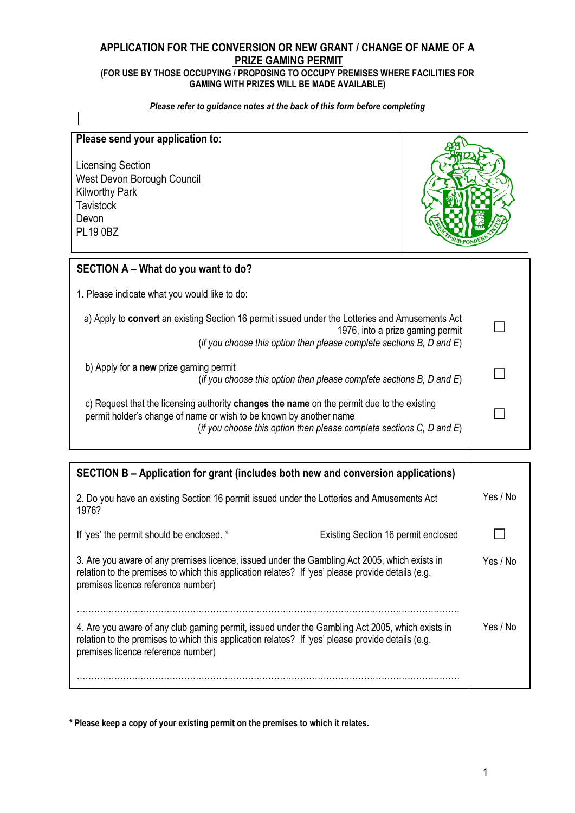# **APPLICATION FOR THE CONVERSION OR NEW GRANT / CHANGE OF NAME OF A PRIZE GAMING PERMIT**

### **(FOR USE BY THOSE OCCUPYING / PROPOSING TO OCCUPY PREMISES WHERE FACILITIES FOR GAMING WITH PRIZES WILL BE MADE AVAILABLE)**

### *Please refer to guidance notes at the back of this form before completing*

| Please send your application to:<br><b>Licensing Section</b><br>West Devon Borough Council<br><b>Kilworthy Park</b><br><b>Tavistock</b><br>Devon<br><b>PL19 0BZ</b>                                                                              |  |  |
|--------------------------------------------------------------------------------------------------------------------------------------------------------------------------------------------------------------------------------------------------|--|--|
| SECTION A - What do you want to do?                                                                                                                                                                                                              |  |  |
| 1. Please indicate what you would like to do:                                                                                                                                                                                                    |  |  |
| a) Apply to convert an existing Section 16 permit issued under the Lotteries and Amusements Act<br>1976, into a prize gaming permit<br>(if you choose this option then please complete sections $B$ , $D$ and $E$ )                              |  |  |
| b) Apply for a <b>new</b> prize gaming permit<br>(if you choose this option then please complete sections B, D and $E$ )                                                                                                                         |  |  |
| c) Request that the licensing authority changes the name on the permit due to the existing<br>permit holder's change of name or wish to be known by another name<br>(if you choose this option then please complete sections $C$ , $D$ and $E$ ) |  |  |

| SECTION B – Application for grant (includes both new and conversion applications)                                                                                                                                                          |                                     |          |
|--------------------------------------------------------------------------------------------------------------------------------------------------------------------------------------------------------------------------------------------|-------------------------------------|----------|
| 2. Do you have an existing Section 16 permit issued under the Lotteries and Amusements Act<br>1976?                                                                                                                                        |                                     | Yes / No |
| If 'yes' the permit should be enclosed. *                                                                                                                                                                                                  | Existing Section 16 permit enclosed |          |
| 3. Are you aware of any premises licence, issued under the Gambling Act 2005, which exists in<br>relation to the premises to which this application relates? If 'yes' please provide details (e.g.<br>premises licence reference number)   |                                     | Yes / No |
| 4. Are you aware of any club gaming permit, issued under the Gambling Act 2005, which exists in<br>relation to the premises to which this application relates? If 'yes' please provide details (e.g.<br>premises licence reference number) |                                     | Yes / No |

**\* Please keep a copy of your existing permit on the premises to which it relates.**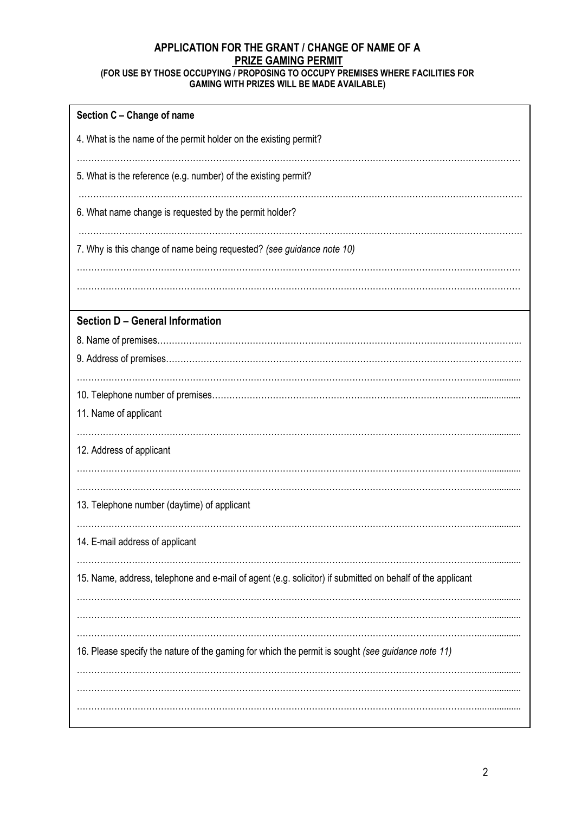## **APPLICATION FOR THE GRANT / CHANGE OF NAME OF A PRIZE GAMING PERMIT (FOR USE BY THOSE OCCUPYING / PROPOSING TO OCCUPY PREMISES WHERE FACILITIES FOR**

### **GAMING WITH PRIZES WILL BE MADE AVAILABLE)**

| Section C - Change of name                                                                                |
|-----------------------------------------------------------------------------------------------------------|
| 4. What is the name of the permit holder on the existing permit?                                          |
| 5. What is the reference (e.g. number) of the existing permit?                                            |
| 6. What name change is requested by the permit holder?                                                    |
| 7. Why is this change of name being requested? (see guidance note 10)                                     |
|                                                                                                           |
| <b>Section D - General Information</b>                                                                    |
|                                                                                                           |
|                                                                                                           |
|                                                                                                           |
| 11. Name of applicant                                                                                     |
| 12. Address of applicant                                                                                  |
| 13. Telephone number (daytime) of applicant                                                               |
| 14. E-mail address of applicant                                                                           |
| 15. Name, address, telephone and e-mail of agent (e.g. solicitor) if submitted on behalf of the applicant |
|                                                                                                           |
| 16. Please specify the nature of the gaming for which the permit is sought (see guidance note 11)         |
|                                                                                                           |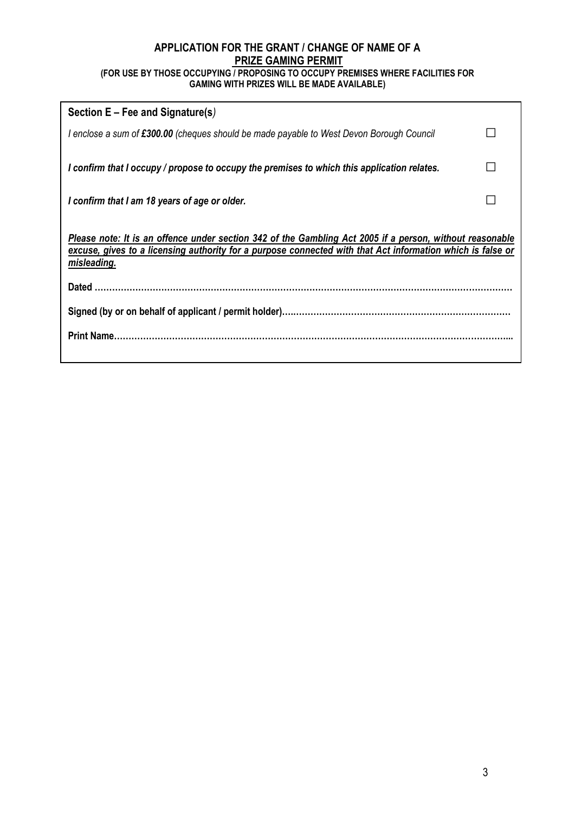## **APPLICATION FOR THE GRANT / CHANGE OF NAME OF A PRIZE GAMING PERMIT (FOR USE BY THOSE OCCUPYING / PROPOSING TO OCCUPY PREMISES WHERE FACILITIES FOR**

| JE DT THUJE UUUUFTING / FRUFUJING TU UUUUFT FREMIJEJ WHERE FAUILIT |  |
|--------------------------------------------------------------------|--|
| <b>GAMING WITH PRIZES WILL BE MADE AVAILABLE)</b>                  |  |

| Section E – Fee and Signature(s)                                                                                                                                                                                                      |  |
|---------------------------------------------------------------------------------------------------------------------------------------------------------------------------------------------------------------------------------------|--|
| I enclose a sum of £300.00 (cheques should be made payable to West Devon Borough Council                                                                                                                                              |  |
| I confirm that I occupy / propose to occupy the premises to which this application relates.                                                                                                                                           |  |
| I confirm that I am 18 years of age or older.                                                                                                                                                                                         |  |
| Please note: It is an offence under section 342 of the Gambling Act 2005 if a person, without reasonable<br>excuse, gives to a licensing authority for a purpose connected with that Act information which is false or<br>misleading. |  |
|                                                                                                                                                                                                                                       |  |
|                                                                                                                                                                                                                                       |  |
|                                                                                                                                                                                                                                       |  |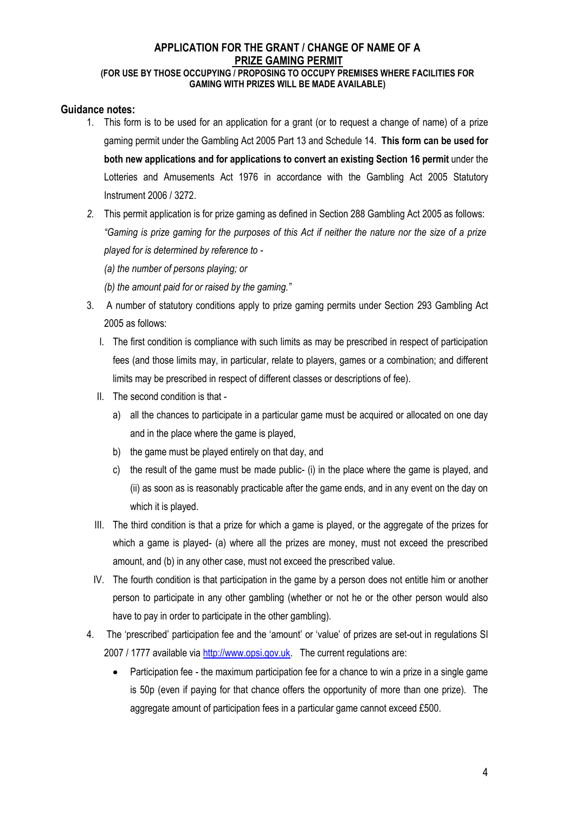# **APPLICATION FOR THE GRANT / CHANGE OF NAME OF A PRIZE GAMING PERMIT**

## **(FOR USE BY THOSE OCCUPYING / PROPOSING TO OCCUPY PREMISES WHERE FACILITIES FOR GAMING WITH PRIZES WILL BE MADE AVAILABLE)**

## **Guidance notes:**

- 1. This form is to be used for an application for a grant (or to request a change of name) of a prize gaming permit under the Gambling Act 2005 Part 13 and Schedule 14. **This form can be used for both new applications and for applications to convert an existing Section 16 permit** under the Lotteries and Amusements Act 1976 in accordance with the Gambling Act 2005 Statutory Instrument 2006 / 3272.
- *2.* This permit application is for prize gaming as defined in Section 288 Gambling Act 2005 as follows: *"Gaming is prize gaming for the purposes of this Act if neither the nature nor the size of a prize played for is determined by reference to -*
	- *(a) the number of persons playing; or*
	- *(b) the amount paid for or raised by the gaming."*
- 3. A number of statutory conditions apply to prize gaming permits under Section 293 Gambling Act 2005 as follows:
	- I. The first condition is compliance with such limits as may be prescribed in respect of participation fees (and those limits may, in particular, relate to players, games or a combination; and different limits may be prescribed in respect of different classes or descriptions of fee).
	- II. The second condition is that
		- a) all the chances to participate in a particular game must be acquired or allocated on one day and in the place where the game is played,
		- b) the game must be played entirely on that day, and
		- c) the result of the game must be made public- (i) in the place where the game is played, and (ii) as soon as is reasonably practicable after the game ends, and in any event on the day on which it is played.
	- III. The third condition is that a prize for which a game is played, or the aggregate of the prizes for which a game is played- (a) where all the prizes are money, must not exceed the prescribed amount, and (b) in any other case, must not exceed the prescribed value.
	- IV. The fourth condition is that participation in the game by a person does not entitle him or another person to participate in any other gambling (whether or not he or the other person would also have to pay in order to participate in the other gambling).
- 4. The 'prescribed' participation fee and the 'amount' or 'value' of prizes are set-out in regulations SI 2007 / 1777 available via [http://www.opsi.gov.uk.](http://www.opsi.gov.uk/) The current regulations are:
	- Participation fee the maximum participation fee for a chance to win a prize in a single game is 50p (even if paying for that chance offers the opportunity of more than one prize). The aggregate amount of participation fees in a particular game cannot exceed £500.